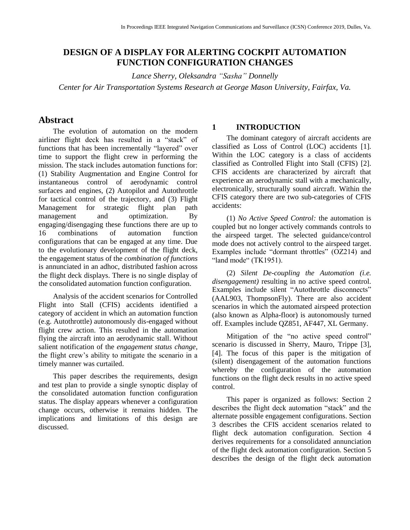## **DESIGN OF A DISPLAY FOR ALERTING COCKPIT AUTOMATION FUNCTION CONFIGURATION CHANGES**

*Lance Sherry, Oleksandra "Sasha" Donnelly Center for Air Transportation Systems Research at George Mason University, Fairfax, Va.*

### **Abstract**

The evolution of automation on the modern airliner flight deck has resulted in a "stack" of functions that has been incrementally "layered" over time to support the flight crew in performing the mission. The stack includes automation functions for: (1) Stability Augmentation and Engine Control for instantaneous control of aerodynamic control surfaces and engines, (2) Autopilot and Autothrottle for tactical control of the trajectory, and (3) Flight Management for strategic flight plan path management and optimization. By engaging/disengaging these functions there are up to 16 combinations of automation function configurations that can be engaged at any time. Due to the evolutionary development of the flight deck, the engagement status of the *combination of functions* is annunciated in an adhoc, distributed fashion across the flight deck displays. There is no single display of the consolidated automation function configuration.

Analysis of the accident scenarios for Controlled Flight into Stall (CFIS) accidents identified a category of accident in which an automation function (e.g. Autothrottle) autonomously dis-engaged without flight crew action. This resulted in the automation flying the aircraft into an aerodynamic stall. Without salient notification of the *engagement status change*, the flight crew's ability to mitigate the scenario in a timely manner was curtailed.

This paper describes the requirements, design and test plan to provide a single synoptic display of the consolidated automation function configuration status. The display appears whenever a configuration change occurs, otherwise it remains hidden. The implications and limitations of this design are discussed.

#### **1 INTRODUCTION**

The dominant category of aircraft accidents are classified as Loss of Control (LOC) accidents [1]. Within the LOC category is a class of accidents classified as Controlled Flight into Stall (CFIS) [2]. CFIS accidents are characterized by aircraft that experience an aerodynamic stall with a mechanically, electronically, structurally sound aircraft. Within the CFIS category there are two sub-categories of CFIS accidents:

(1) *No Active Speed Control:* the automation is coupled but no longer actively commands controls to the airspeed target. The selected guidance/control mode does not actively control to the airspeed target. Examples include "dormant throttles" (OZ214) and "land mode" (TK1951).

(2) *Silent De-coupling the Automation (i.e. disengagement)* resulting in no active speed control. Examples include silent "Autothrottle disconnects" (AAL903, ThompsonFly). There are also accident scenarios in which the automated airspeed protection (also known as Alpha-floor) is autonomously turned off. Examples include QZ851, AF447, XL Germany.

Mitigation of the "no active speed control" scenario is discussed in Sherry, Mauro, Trippe [3], [4]. The focus of this paper is the mitigation of (silent) disengagement of the automation functions whereby the configuration of the automation functions on the flight deck results in no active speed control.

This paper is organized as follows: Section 2 describes the flight deck automation "stack" and the alternate possible engagement configurations. Section 3 describes the CFIS accident scenarios related to flight deck automation configuration. Section 4 derives requirements for a consolidated annunciation of the flight deck automation configuration. Section 5 describes the design of the flight deck automation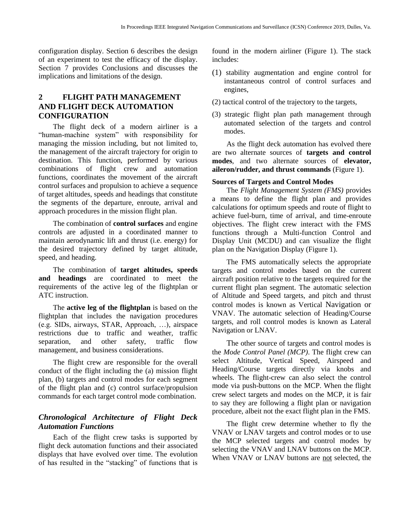configuration display. Section 6 describes the design of an experiment to test the efficacy of the display. Section 7 provides Conclusions and discusses the implications and limitations of the design.

### **2 FLIGHT PATH MANAGEMENT AND FLIGHT DECK AUTOMATION CONFIGURATION**

The flight deck of a modern airliner is a "human-machine system" with responsibility for managing the mission including, but not limited to, the management of the aircraft trajectory for origin to destination. This function, performed by various combinations of flight crew and automation functions, coordinates the movement of the aircraft control surfaces and propulsion to achieve a sequence of target altitudes, speeds and headings that constitute the segments of the departure, enroute, arrival and approach procedures in the mission flight plan.

The combination of **control surfaces** and engine controls are adjusted in a coordinated manner to maintain aerodynamic lift and thrust (i.e. energy) for the desired trajectory defined by target altitude, speed, and heading.

The combination of **target altitudes, speeds and headings** are coordinated to meet the requirements of the active leg of the flightplan or ATC instruction.

The **active leg of the flightplan** is based on the flightplan that includes the navigation procedures (e.g. SIDs, airways, STAR, Approach, …), airspace restrictions due to traffic and weather, traffic separation, and other safety, traffic flow management, and business considerations.

The flight crew are responsible for the overall conduct of the flight including the (a) mission flight plan, (b) targets and control modes for each segment of the flight plan and (c) control surface/propulsion commands for each target control mode combination.

### *Chronological Architecture of Flight Deck Automation Functions*

Each of the flight crew tasks is supported by flight deck automation functions and their associated displays that have evolved over time. The evolution of has resulted in the "stacking" of functions that is

found in the modern airliner (Figure 1). The stack includes:

- (1) stability augmentation and engine control for instantaneous control of control surfaces and engines,
- (2) tactical control of the trajectory to the targets,
- (3) strategic flight plan path management through automated selection of the targets and control modes.

As the flight deck automation has evolved there are two alternate sources of **targets and control modes**, and two alternate sources of **elevator, aileron/rudder, and thrust commands** (Figure 1).

#### **Sources of Targets and Control Modes**

The *Flight Management System (FMS)* provides a means to define the flight plan and provides calculations for optimum speeds and route of flight to achieve fuel-burn, time of arrival, and time-enroute objectives. The flight crew interact with the FMS functions through a Multi-function Control and Display Unit (MCDU) and can visualize the flight plan on the Navigation Display (Figure 1).

The FMS automatically selects the appropriate targets and control modes based on the current aircraft position relative to the targets required for the current flight plan segment. The automatic selection of Altitude and Speed targets, and pitch and thrust control modes is known as Vertical Navigation or VNAV. The automatic selection of Heading/Course targets, and roll control modes is known as Lateral Navigation or LNAV.

The other source of targets and control modes is the *Mode Control Panel (MCP)*. The flight crew can select Altitude, Vertical Speed, Airspeed and Heading/Course targets directly via knobs and wheels. The flight-crew can also select the control mode via push-buttons on the MCP. When the flight crew select targets and modes on the MCP, it is fair to say they are following a flight plan or navigation procedure, albeit not the exact flight plan in the FMS.

The flight crew determine whether to fly the VNAV or LNAV targets and control modes or to use the MCP selected targets and control modes by selecting the VNAV and LNAV buttons on the MCP. When VNAV or LNAV buttons are not selected, the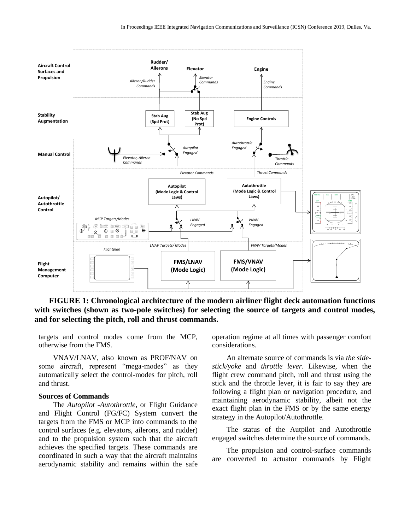

**FIGURE 1: Chronological architecture of the modern airliner flight deck automation functions with switches (shown as two-pole switches) for selecting the source of targets and control modes, and for selecting the pitch, roll and thrust commands.**

targets and control modes come from the MCP, otherwise from the FMS.

VNAV/LNAV, also known as PROF/NAV on some aircraft, represent "mega-modes" as they automatically select the control-modes for pitch, roll and thrust.

#### **Sources of Commands**

The *Autopilot -Autothrottle*, or Flight Guidance and Flight Control (FG/FC) System convert the targets from the FMS or MCP into commands to the control surfaces (e.g. elevators, ailerons, and rudder) and to the propulsion system such that the aircraft achieves the specified targets. These commands are coordinated in such a way that the aircraft maintains aerodynamic stability and remains within the safe operation regime at all times with passenger comfort considerations.

An alternate source of commands is via *the sidestick/yoke* and *throttle lever*. Likewise, when the flight crew command pitch, roll and thrust using the stick and the throttle lever, it is fair to say they are following a flight plan or navigation procedure, and maintaining aerodynamic stability, albeit not the exact flight plan in the FMS or by the same energy strategy in the Autopilot/Autothrottle.

The status of the Autpilot and Autothrottle engaged switches determine the source of commands.

The propulsion and control-surface commands are converted to actuator commands by Flight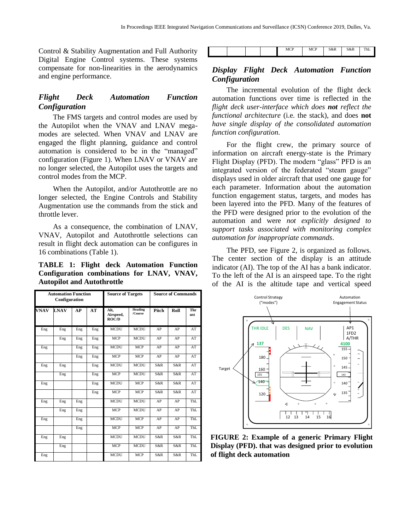Control & Stability Augmentation and Full Authority Digital Engine Control systems. These systems compensate for non-linearities in the aerodynamics and engine performance.

### *Flight Deck Automation Function Configuration*

The FMS targets and control modes are used by the Autopilot when the VNAV and LNAV megamodes are selected. When VNAV and LNAV are engaged the flight planning, guidance and control automation is considered to be in the "managed" configuration (Figure 1). When LNAV or VNAV are no longer selected, the Autopilot uses the targets and control modes from the MCP.

When the Autopilot, and/or Autothrottle are no longer selected, the Engine Controls and Stability Augmentation use the commands from the stick and throttle lever.

As a consequence, the combination of LNAV, VNAV, Autopilot and Autothrottle selections can result in flight deck automation can be configures in 16 combinations (Table 1).

**TABLE 1: Flight deck Automation Function Configuration combinations for LNAV, VNAV, Autopilot and Autothrottle**

|             | <b>Automation Function</b><br>Configuration |     |          | <b>Source of Targets</b>          |                    | <b>Source of Commands</b> |      |            |  |
|-------------|---------------------------------------------|-----|----------|-----------------------------------|--------------------|---------------------------|------|------------|--|
| <b>VNAV</b> | <b>LNAV</b>                                 | AP  | $\bf AT$ | Alt.<br>Airspeed,<br><b>ROC/D</b> | Heading<br>/Course | Pitch                     | Roll | Thr<br>ust |  |
| Eng         | Eng                                         | Eng | Eng      | <b>MCDU</b>                       | <b>MCDU</b>        | AP                        | AP   | AT         |  |
|             | Eng                                         | Eng | Eng      | <b>MCP</b>                        | <b>MCDU</b>        | AP                        | AP   | AT         |  |
| Eng         |                                             | Eng | Eng      | <b>MCDU</b>                       | <b>MCP</b>         | AP                        | AP   | AT         |  |
|             |                                             | Eng | Eng      | <b>MCP</b>                        | <b>MCP</b>         | AP                        | AP   | AT         |  |
| Eng         | Eng                                         |     | Eng      | <b>MCDU</b>                       | <b>MCDU</b>        | S&R                       | S&R  | AT         |  |
|             | Eng                                         |     | Eng      | <b>MCP</b>                        | <b>MCDU</b>        | S&R                       | S&R  | AT         |  |
| Eng         |                                             |     | Eng      | <b>MCDU</b>                       | MCP                | S&R                       | S&R  | AT         |  |
|             |                                             |     | Eng      | <b>MCP</b>                        | MCP                | S&R                       | S&R  | AT         |  |
| Eng         | Eng                                         | Eng |          | <b>MCDU</b>                       | <b>MCDU</b>        | AP                        | AP   | ThL        |  |
|             | Eng                                         | Eng |          | <b>MCP</b>                        | <b>MCDU</b>        | AP                        | AP   | ThL        |  |
| Eng         |                                             | Eng |          | <b>MCDU</b>                       | <b>MCP</b>         | AP                        | AP   | ThL        |  |
|             |                                             | Eng |          | <b>MCP</b>                        | MCP                | AP                        | AP   | ThL        |  |
| Eng         | Eng                                         |     |          | <b>MCDU</b>                       | <b>MCDU</b>        | S&R                       | S&R  | ThL        |  |
|             | Eng                                         |     |          | <b>MCP</b>                        | <b>MCDU</b>        | S&R                       | S&R  | ThL        |  |
| Eng         |                                             |     |          | <b>MCDU</b>                       | <b>MCP</b>         | S&R                       | S&R  | ThL        |  |
|             |                                             |     |          |                                   |                    |                           |      |            |  |

|  |  | MCD<br>MCF | <b>MCP</b> | S&R | S&R | ThL |
|--|--|------------|------------|-----|-----|-----|

### *Display Flight Deck Automation Function Configuration*

The incremental evolution of the flight deck automation functions over time is reflected in the *flight deck user-interface which does not reflect the functional architecture* (i.e. the stack), and does **not**  *have single display of the consolidated automation function configuration*.

For the flight crew, the primary source of information on aircraft energy-state is the Primary Flight Display (PFD). The modern "glass" PFD is an integrated version of the federated "steam gauge" displays used in older aircraft that used one gauge for each parameter. Information about the automation function engagement status, targets, and modes has been layered into the PFD. Many of the features of the PFD were designed prior to the evolution of the automation and were *not explicitly designed to support tasks associated with monitoring complex automation for inappropriate commands*.

The PFD, see Figure 2, is organized as follows. The center section of the display is an attitude indicator (AI). The top of the AI has a bank indicator. To the left of the AI is an airspeed tape. To the right of the AI is the altitude tape and vertical speed



**FIGURE 2: Example of a generic Primary Flight Display (PFD). that was designed prior to evolution of flight deck automation**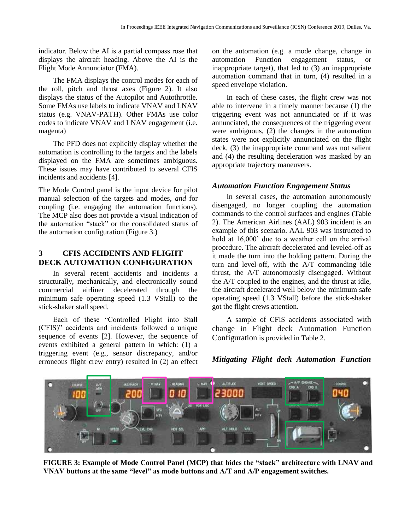indicator. Below the AI is a partial compass rose that displays the aircraft heading. Above the AI is the Flight Mode Annunciator (FMA).

The FMA displays the control modes for each of the roll, pitch and thrust axes (Figure 2). It also displays the status of the Autopilot and Autothrottle. Some FMAs use labels to indicate VNAV and LNAV status (e.g. VNAV-PATH). Other FMAs use color codes to indicate VNAV and LNAV engagement (i.e. magenta)

The PFD does not explicitly display whether the automation is controlling to the targets and the labels displayed on the FMA are sometimes ambiguous. These issues may have contributed to several CFIS incidents and accidents [4].

The Mode Control panel is the input device for pilot manual selection of the targets and modes, *and* for coupling (i.e. engaging the automation functions). The MCP also does not provide a visual indication of the automation "stack" or the consolidated status of the automation configuration (Figure 3.)

### **3 CFIS ACCIDENTS AND FLIGHT DECK AUTOMATION CONFIGURATION**

In several recent accidents and incidents a structurally, mechanically, and electronically sound commercial airliner decelerated through the minimum safe operating speed (1.3 VStall) to the stick-shaker stall speed.

Each of these "Controlled Flight into Stall (CFIS)" accidents and incidents followed a unique sequence of events [2]. However, the sequence of events exhibited a general pattern in which: (1) a triggering event (e.g., sensor discrepancy, and/or erroneous flight crew entry) resulted in (2) an effect on the automation (e.g. a mode change, change in automation Function engagement status, or inappropriate target), that led to (3) an inappropriate automation command that in turn, (4) resulted in a speed envelope violation.

In each of these cases, the flight crew was not able to intervene in a timely manner because (1) the triggering event was not annunciated or if it was annunciated, the consequences of the triggering event were ambiguous, (2) the changes in the automation states were not explicitly annunciated on the flight deck, (3) the inappropriate command was not salient and (4) the resulting deceleration was masked by an appropriate trajectory maneuvers.

#### *Automation Function Engagement Status*

In several cases, the automation autonomously disengaged, no longer coupling the automation commands to the control surfaces and engines (Table 2). The American Airlines (AAL) 903 incident is an example of this scenario. AAL 903 was instructed to hold at 16,000' due to a weather cell on the arrival procedure. The aircraft decelerated and leveled-off as it made the turn into the holding pattern. During the turn and level-off, with the A/T commanding idle thrust, the A/T autonomously disengaged. Without the A/T coupled to the engines, and the thrust at idle, the aircraft decelerated well below the minimum safe operating speed (1.3 VStall) before the stick-shaker got the flight crews attention.

A sample of CFIS accidents associated with change in Flight deck Automation Function Configuration is provided in Table 2.

*Mitigating Flight deck Automation Function* 



**FIGURE 3: Example of Mode Control Panel (MCP) that hides the "stack" architecture with LNAV and VNAV buttons at the same "level" as mode buttons and A/T and A/P engagement switches.**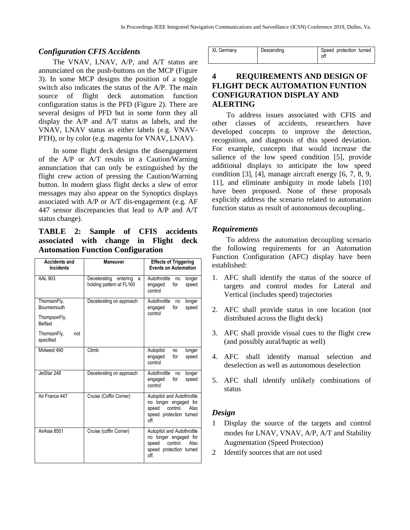#### *Configuration CFIS Accidents*

The VNAV, LNAV, A/P, and A/T status are annunciated on the push-buttons on the MCP (Figure 3). In some MCP designs the position of a toggle switch also indicates the status of the A/P. The main source of flight deck automation function configuration status is the PFD (Figure 2). There are several designs of PFD but in some form they all display the A/P and A/T status as labels, and the VNAV, LNAV status as either labels (e.g. VNAV-PTH), or by color (e.g. magenta for VNAV, LNAV).

In some flight deck designs the disengagement of the A/P or A/T results in a Caution/Warning annunciation that can only be extinguished by the flight crew action of pressing the Caution/Warning button. In modern glass flight decks a slew of error messages may also appear on the Synoptics displays associated with A/P or A/T dis-engagement (e.g. AF 447 sensor discrepancies that lead to A/P and A/T status change).

**TABLE 2: Sample of CFIS accidents associated with change in Flight deck Automation Function Configuration**

| <b>Accidents and</b><br><b>Incidents</b> | <b>Maneuver</b>                                           | <b>Effects of Triggering</b><br><b>Events on Automation</b>                                                         |  |  |  |
|------------------------------------------|-----------------------------------------------------------|---------------------------------------------------------------------------------------------------------------------|--|--|--|
| <b>AAL 903</b>                           | Decelerating<br>entering<br>a<br>holding pattern at FL160 | Autothrottle<br>longer<br>no<br>for<br>speed<br>engaged<br>control                                                  |  |  |  |
| ThomsonFly,<br>Bournemouth               | Decelerating on approach                                  | Autothrottle<br>longer<br>no<br>for<br>speed<br>engaged<br>control                                                  |  |  |  |
| ThompsonFly,<br><b>Belfast</b>           |                                                           |                                                                                                                     |  |  |  |
| ThomsonFly,<br>not<br>specified          |                                                           |                                                                                                                     |  |  |  |
| Midwest 490                              | Climb                                                     | Autopilot<br>longer<br>no<br>for<br>engaged<br>speed<br>control                                                     |  |  |  |
| JetStar 248                              | Decelerating on approach                                  | Autothrottle<br>longer<br>no<br>for<br>speed<br>engaged<br>control                                                  |  |  |  |
| Air France 447                           | Cruise (Coffin Corner)                                    | Autopilot and Autothrottle<br>no longer engaged for<br>control.<br>Also<br>speed<br>speed protection turned<br>off  |  |  |  |
| AirAsia 8501                             | Cruise (coffin Corner)                                    | Autopilot and Autothrottle<br>no longer engaged for<br>control.<br>Also<br>speed<br>speed protection turned<br>off. |  |  |  |

| <b>XL Germany</b> | Descending | Speed protection turned |
|-------------------|------------|-------------------------|
|                   |            | off                     |

### **4 REQUIREMENTS AND DESIGN OF FLIGHT DECK AUTOMATION FUNTION CONFIGURATION DISPLAY AND ALERTING**

To address issues associated with CFIS and other classes of accidents, researchers have developed concepts to improve the detection, recognition, and diagnosis of this speed deviation. For example, concepts that would increase the salience of the low speed condition [5], provide additional displays to anticipate the low speed condition [3], [4], manage aircraft energy [6, 7, 8, 9, 11], and eliminate ambiguity in mode labels [10] have been proposed. None of these proposals explicitly address the scenario related to automation function status as result of autonomous decoupling..

#### *Requirements*

To address the automation decoupling scenario the following requirements for an Automation Function Configuration (AFC) display have been established:

- 1. AFC shall identify the status of the source of targets and control modes for Lateral and Vertical (includes speed) trajectories
- 2. AFC shall provide status in one location (not distributed across the flight deck)
- 3. AFC shall provide visual cues to the flight crew (and possibly aural/haptic as well)
- 4. AFC shall identify manual selection and deselection as well as autonomous deselection
- 5. AFC shall identify unlikely combinations of status

#### *Design*

- 1 Display the source of the targets and control modes for LNAV, VNAV, A/P, A/T and Stability Augmentation (Speed Protection)
- 2 Identify sources that are not used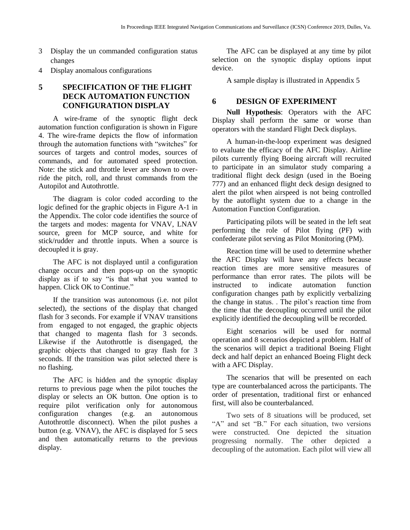- 3 Display the un commanded configuration status changes
- 4 Display anomalous configurations

### **5 SPECIFICATION OF THE FLIGHT DECK AUTOMATION FUNCTION CONFIGURATION DISPLAY**

A wire-frame of the synoptic flight deck automation function configuration is shown in Figure 4. The wire-frame depicts the flow of information through the automation functions with "switches" for sources of targets and control modes, sources of commands, and for automated speed protection. Note: the stick and throttle lever are shown to override the pitch, roll, and thrust commands from the Autopilot and Autothrottle.

The diagram is color coded according to the logic defined for the graphic objects in Figure A-1 in the Appendix. The color code identifies the source of the targets and modes: magenta for VNAV, LNAV source, green for MCP source, and white for stick/rudder and throttle inputs. When a source is decoupled it is gray.

The AFC is not displayed until a configuration change occurs and then pops-up on the synoptic display as if to say "is that what you wanted to happen. Click OK to Continue."

If the transition was autonomous (i.e. not pilot selected), the sections of the display that changed flash for 3 seconds. For example if VNAV transitions from engaged to not engaged, the graphic objects that changed to magenta flash for 3 seconds. Likewise if the Autothrottle is disengaged, the graphic objects that changed to gray flash for 3 seconds. If the transition was pilot selected there is no flashing.

The AFC is hidden and the synoptic display returns to previous page when the pilot touches the display or selects an OK button. One option is to require pilot verification only for autonomous configuration changes (e.g. an autonomous Autothrottle disconnect). When the pilot pushes a button (e.g. VNAV), the AFC is displayed for 5 secs and then automatically returns to the previous display.

The AFC can be displayed at any time by pilot selection on the synoptic display options input device.

A sample display is illustrated in Appendix 5

#### **6 DESIGN OF EXPERIMENT**

**Null Hypothesis**: Operators with the AFC Display shall perform the same or worse than operators with the standard Flight Deck displays.

A human-in-the-loop experiment was designed to evaluate the efficacy of the AFC Display. Airline pilots currently flying Boeing aircraft will recruited to participate in an simulator study comparing a traditional flight deck design (used in the Boeing 777) and an enhanced flight deck design designed to alert the pilot when airspeed is not being controlled by the autoflight system due to a change in the Automation Function Configuration.

Participating pilots will be seated in the left seat performing the role of Pilot flying (PF) with confederate pilot serving as Pilot Monitoring (PM).

Reaction time will be used to determine whether the AFC Display will have any effects because reaction times are more sensitive measures of performance than error rates. The pilots will be instructed to indicate automation function configuration changes path by explicitly verbalizing the change in status. . The pilot's reaction time from the time that the decoupling occurred until the pilot explicitly identified the decoupling will be recorded.

Eight scenarios will be used for normal operation and 8 scenarios depicted a problem. Half of the scenarios will depict a traditional Boeing Flight deck and half depict an enhanced Boeing Flight deck with a AFC Display.

The scenarios that will be presented on each type are counterbalanced across the participants. The order of presentation, traditional first or enhanced first, will also be counterbalanced.

Two sets of 8 situations will be produced, set "A" and set "B." For each situation, two versions were constructed. One depicted the situation progressing normally. The other depicted a decoupling of the automation. Each pilot will view all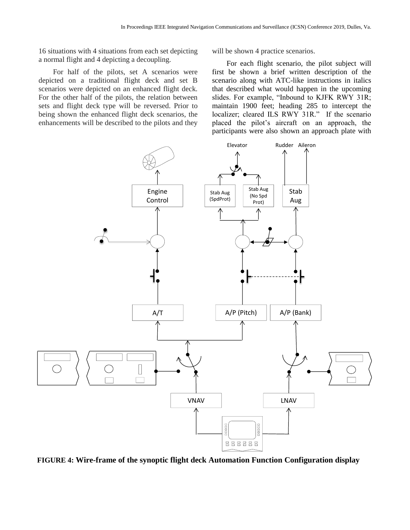16 situations with 4 situations from each set depicting a normal flight and 4 depicting a decoupling.

For half of the pilots, set A scenarios were depicted on a traditional flight deck and set B scenarios were depicted on an enhanced flight deck. For the other half of the pilots, the relation between sets and flight deck type will be reversed. Prior to being shown the enhanced flight deck scenarios, the enhancements will be described to the pilots and they will be shown 4 practice scenarios.

For each flight scenario, the pilot subject will first be shown a brief written description of the scenario along with ATC-like instructions in italics that described what would happen in the upcoming slides. For example, "Inbound to KJFK RWY 31R; maintain 1900 feet; heading 285 to intercept the localizer; cleared ILS RWY 31R." If the scenario placed the pilot's aircraft on an approach, the participants were also shown an approach plate with



**FIGURE 4: Wire-frame of the synoptic flight deck Automation Function Configuration display**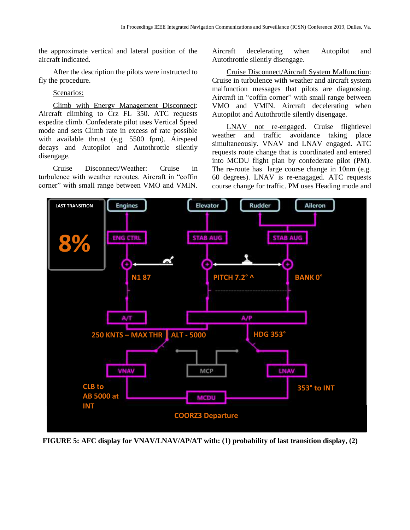the approximate vertical and lateral position of the aircraft indicated.

After the description the pilots were instructed to fly the procedure.

Scenarios:

Climb with Energy Management Disconnect: Aircraft climbing to Crz FL 350. ATC requests expedite climb. Confederate pilot uses Vertical Speed mode and sets Climb rate in excess of rate possible with available thrust (e.g. 5500 fpm). Airspeed decays and Autopilot and Autothrottle silently disengage.

Cruise Disconnect/Weather: Cruise in turbulence with weather reroutes. Aircraft in "coffin corner" with small range between VMO and VMIN.

Aircraft decelerating when Autopilot and Autothrottle silently disengage.

Cruise Disconnect/Aircraft System Malfunction: Cruise in turbulence with weather and aircraft system malfunction messages that pilots are diagnosing. Aircraft in "coffin corner" with small range between VMO and VMIN. Aircraft decelerating when Autopilot and Autothrottle silently disengage.

LNAV not re-engaged. Cruise flightlevel weather and traffic avoidance taking place simultaneously. VNAV and LNAV engaged. ATC requests route change that is coordinated and entered into MCDU flight plan by confederate pilot (PM). The re-route has large course change in 10nm (e.g. 60 degrees). LNAV is re-enagaged. ATC requests course change for traffic. PM uses Heading mode and



**FIGURE 5: AFC display for VNAV/LNAV/AP/AT with: (1) probability of last transition display, (2)**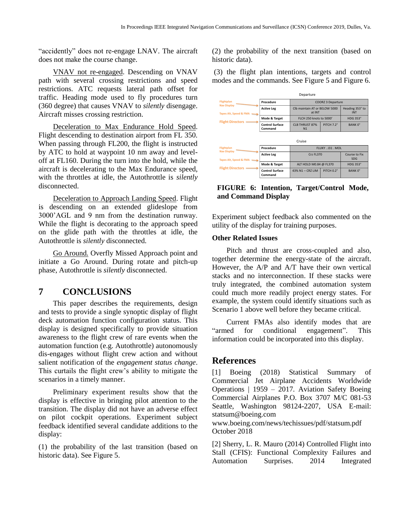"accidently" does not re-engage LNAV. The aircraft does not make the course change.

VNAV not re-engaged. Descending on VNAV path with several crossing restrictions and speed restrictions. ATC requests lateral path offset for traffic. Heading mode used to fly procedures turn (360 degree) that causes VNAV to *silently* disengage. Aircraft misses crossing restriction.

Deceleration to Max Endurance Hold Speed. Flight descending to destination airport from FL 350. When passing through FL200, the flight is instructed by ATC to hold at waypoint 10 nm away and leveloff at FL160. During the turn into the hold, while the aircraft is decelerating to the Max Endurance speed, with the throttles at idle, the Autothrottle is *silently* disconnected.

Deceleration to Approach Landing Speed. Flight is descending on an extended glideslope from 3000'AGL and 9 nm from the destination runway. While the flight is decorating to the approach speed on the glide path with the throttles at idle, the Autothrottle is *silently* disconnected.

Go Around. Overfly Missed Approach point and initiate a Go Around. During rotate and pitch-up phase, Autothrottle is *silently* disconnected.

### **7 CONCLUSIONS**

This paper describes the requirements, design and tests to provide a single synoptic display of flight deck automation function configuration status. This display is designed specifically to provide situation awareness to the flight crew of rare events when the automation function (e.g. Autothrottle) autonomously dis-engages without flight crew action and without salient notification of the *engagement status change*. This curtails the flight crew's ability to mitigate the scenarios in a timely manner.

Preliminary experiment results show that the display is effective in bringing pilot attention to the transition. The display did not have an adverse effect on pilot cockpit operations. Experiment subject feedback identified several candidate additions to the display:

(1) the probability of the last transition (based on historic data). See Figure 5.

(2) the probability of the next transition (based on historic data).

(3) the flight plan intentions, targets and control modes and the commands. See Figure 5 and Figure 6.

|                                         | Departure                         |                                           |                               |                             |  |  |  |
|-----------------------------------------|-----------------------------------|-------------------------------------------|-------------------------------|-----------------------------|--|--|--|
| <b>Flightplan</b><br><b>Nav Display</b> | Procedure                         |                                           | <b>COORZ 3 Departure</b>      |                             |  |  |  |
| <b>Tapes Alt, Speed &amp; FMA</b>       | <b>Active Leg</b>                 | Clb maintain AT or BELOW 5000<br>at INT   | Heading 353° to<br><b>INT</b> |                             |  |  |  |
|                                         | Mode & Target                     | <b>FLCH 250 knots to 5000'</b>            | <b>HDG 353°</b>               |                             |  |  |  |
| <b>Flight Directors</b>                 | <b>Control Surface</b><br>Command | PITCH 7.2°<br><b>CLB THRUST 87%</b><br>N1 |                               | BANK 0°                     |  |  |  |
|                                         |                                   | Cruise                                    |                               |                             |  |  |  |
| <b>Flightplan</b><br><b>Nav Display</b> | Procedure                         | FLUKY . J31 . MOL                         |                               |                             |  |  |  |
| Tapes Alt, Speed & FMA                  | <b>Active Leg</b>                 | Crz FL370                                 |                               | Course to Fix<br><b>SDG</b> |  |  |  |
|                                         | Mode & Target                     | ALT HOLD M0.84 @ FL370                    | <b>HDG 353°</b>               |                             |  |  |  |
| <b>Flight Directors</b>                 | <b>Control Surface</b><br>Command | PITCH 0.2°<br>43% N1 - CRZ LIM            |                               | <b>BANK 0°</b>              |  |  |  |

**FIGURE 6: Intention, Target/Control Mode, and Command Display**

Experiment subject feedback also commented on the utility of the display for training purposes.

#### **Other Related Issues**

Pitch and thrust are cross-coupled and also, together determine the energy-state of the aircraft. However, the A/P and A/T have their own vertical stacks and no interconnection. If these stacks were truly integrated, the combined automation system could much more readily project energy states. For example, the system could identify situations such as Scenario 1 above well before they became critical.

Current FMAs also identify modes that are "armed for conditional engagement". This information could be incorporated into this display.

#### **References**

[1] Boeing (2018) Statistical Summary of Commercial Jet Airplane Accidents Worldwide Operations | 1959 – 2017. Aviation Safety Boeing Commercial Airplanes P.O. Box 3707 M/C 081-53 Seattle, Washington 98124-2207, USA E-mail: statsum@boeing.com

www.boeing.com/news/techissues/pdf/statsum.pdf October 2018

[2] Sherry, L. R. Mauro (2014) Controlled Flight into Stall (CFIS): Functional Complexity Failures and Automation Surprises. 2014 Integrated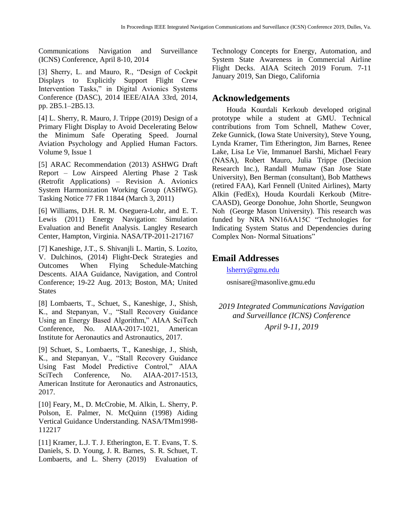Communications Navigation and Surveillance (ICNS) Conference, April 8-10, 2014

[3] Sherry, L. and Mauro, R., "Design of Cockpit Displays to Explicitly Support Flight Crew Intervention Tasks," in Digital Avionics Systems Conference (DASC), 2014 IEEE/AIAA 33rd, 2014, pp. 2B5.1–2B5.13.

[4] L. Sherry, R. Mauro, J. Trippe (2019) Design of a Primary Flight Display to Avoid Decelerating Below the Minimum Safe Operating Speed. Journal Aviation Psychology and Applied Human Factors. Volume 9, Issue 1

[5] ARAC Recommendation (2013) ASHWG Draft Report – Low Airspeed Alerting Phase 2 Task (Retrofit Applications) – Revision A. Avionics System Harmonization Working Group (ASHWG). Tasking Notice 77 FR 11844 (March 3, 2011)

[6] Williams, D.H. R. M. Oseguera-Lohr, and E. T. Lewis (2011) Energy Navigation: Simulation Evaluation and Benefit Analysis. Langley Research Center, Hampton, Virginia. NASA/TP-2011-217167

[7] Kaneshige, J.T., S. Shivanjli L. Martin, S. Lozito, V. Dulchinos, (2014) Flight-Deck Strategies and Outcomes When Flying Schedule-Matching Descents. AIAA Guidance, Navigation, and Control Conference; 19-22 Aug. 2013; Boston, MA; United States

[8] Lombaerts, T., Schuet, S., Kaneshige, J., Shish, K., and Stepanyan, V., "Stall Recovery Guidance Using an Energy Based Algorithm," AIAA SciTech Conference, No. AIAA-2017-1021, American Institute for Aeronautics and Astronautics, 2017.

[9] Schuet, S., Lombaerts, T., Kaneshige, J., Shish, K., and Stepanyan, V., "Stall Recovery Guidance Using Fast Model Predictive Control," AIAA SciTech Conference, No. AIAA-2017-1513, American Institute for Aeronautics and Astronautics, 2017.

[10] Feary, M., D. McCrobie, M. Alkin, L. Sherry, P. Polson, E. Palmer, N. McQuinn (1998) Aiding Vertical Guidance Understanding. NASA/TMm1998- 112217

[11] Kramer, L.J. T. J. Etherington, E. T. Evans, T. S. Daniels, S. D. Young, J. R. Barnes, S. R. Schuet, T. Lombaerts, and L. Sherry (2019) Evaluation of Technology Concepts for Energy, Automation, and System State Awareness in Commercial Airline Flight Decks. AIAA Scitech 2019 Forum. 7-11 January 2019, San Diego, California

## **Acknowledgements**

Houda Kourdali Kerkoub developed original prototype while a student at GMU. Technical contributions from Tom Schnell, Mathew Cover, Zeke Gunnick, (Iowa State University), Steve Young, Lynda Kramer, Tim Etherington, Jim Barnes, Renee Lake, Lisa Le Vie, Immanuel Barshi, Michael Feary (NASA), Robert Mauro, Julia Trippe (Decision Research Inc.), Randall Mumaw (San Jose State University), Ben Berman (consultant), Bob Matthews (retired FAA), Karl Fennell (United Airlines), Marty Alkin (FedEx), Houda Kourdali Kerkoub (Mitre-CAASD), George Donohue, John Shortle, Seungwon Noh (George Mason University). This research was funded by NRA NN16AA15C "Technologies for Indicating System Status and Dependencies during Complex Non- Normal Situations"

## **Email Addresses**

[lsherry@gmu.edu](mailto:lsherry@gmu.edu)

osnisare@masonlive.gmu.edu

*2019 Integrated Communications Navigation and Surveillance (ICNS) Conference April 9-11, 2019*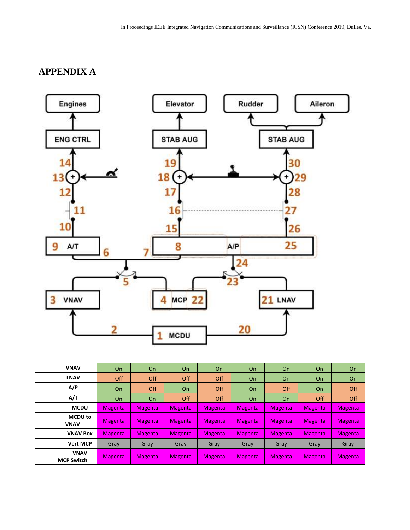# **APPENDIX A**



| <b>VNAV</b>                      | On             | <b>On</b>      | <b>On</b>      | <b>On</b>      | <b>On</b>      | <b>On</b>      | On             | <b>On</b>      |
|----------------------------------|----------------|----------------|----------------|----------------|----------------|----------------|----------------|----------------|
| <b>LNAV</b>                      | Off            | Off            | Off            | Off            | <b>On</b>      | <b>On</b>      | <b>On</b>      | On.            |
| A/P                              | On             | Off            | On             | Off            | <b>On</b>      | Off            | On             | Off            |
| A/T                              | On             | <b>On</b>      | Off            | Off            | <b>On</b>      | <b>On</b>      | Off            | Off            |
| <b>MCDU</b>                      | <b>Magenta</b> | Magenta        | <b>Magenta</b> | <b>Magenta</b> | Magenta        | <b>Magenta</b> | <b>Magenta</b> | <b>Magenta</b> |
| <b>MCDU</b> to<br><b>VNAV</b>    | <b>Magenta</b> | Magenta        | <b>Magenta</b> | <b>Magenta</b> | <b>Magenta</b> | <b>Magenta</b> | <b>Magenta</b> | Magenta        |
| <b>VNAV Box</b>                  | <b>Magenta</b> | Magenta        | <b>Magenta</b> | <b>Magenta</b> | <b>Magenta</b> | <b>Magenta</b> | <b>Magenta</b> | <b>Magenta</b> |
| <b>Vert MCP</b>                  | Gray           | Gray           | Gray           | Gray           | Gray           | Gray           | Gray           | Gray           |
| <b>VNAV</b><br><b>MCP Switch</b> | <b>Magenta</b> | <b>Magenta</b> | <b>Magenta</b> | <b>Magenta</b> | <b>Magenta</b> | <b>Magenta</b> | <b>Magenta</b> | <b>Magenta</b> |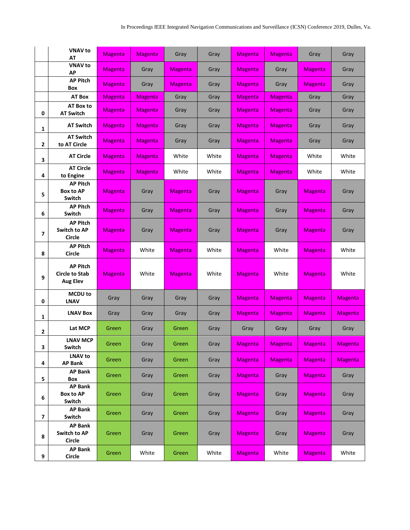|                | <b>VNAV to</b><br>ΑT                                        | <b>Magenta</b> | <b>Magenta</b> | Gray           | Gray  | <b>Magenta</b> | <b>Magenta</b> | Gray           | Gray           |
|----------------|-------------------------------------------------------------|----------------|----------------|----------------|-------|----------------|----------------|----------------|----------------|
|                | <b>VNAV to</b><br>AP                                        | <b>Magenta</b> | Gray           | <b>Magenta</b> | Gray  | <b>Magenta</b> | Gray           | <b>Magenta</b> | Gray           |
|                | <b>AP Pitch</b><br>Box                                      | <b>Magenta</b> | Gray           | <b>Magenta</b> | Gray  | <b>Magenta</b> | Gray           | <b>Magenta</b> | Gray           |
|                | <b>AT Box</b>                                               | <b>Magenta</b> | <b>Magenta</b> | Gray           | Gray  | <b>Magenta</b> | <b>Magenta</b> | Gray           | Gray           |
| 0              | AT Box to<br><b>AT Switch</b>                               | <b>Magenta</b> | <b>Magenta</b> | Gray           | Gray  | <b>Magenta</b> | <b>Magenta</b> | Gray           | Gray           |
| 1              | <b>AT Switch</b>                                            | <b>Magenta</b> | <b>Magenta</b> | Gray           | Gray  | <b>Magenta</b> | <b>Magenta</b> | Gray           | Gray           |
| 2              | <b>AT Switch</b><br>to AT Circle                            | <b>Magenta</b> | <b>Magenta</b> | Gray           | Gray  | <b>Magenta</b> | <b>Magenta</b> | Gray           | Gray           |
| 3              | <b>AT Circle</b>                                            | <b>Magenta</b> | <b>Magenta</b> | White          | White | <b>Magenta</b> | <b>Magenta</b> | White          | White          |
| 4              | <b>AT Circle</b><br>to Engine                               | <b>Magenta</b> | <b>Magenta</b> | White          | White | <b>Magenta</b> | <b>Magenta</b> | White          | White          |
| 5              | <b>AP Pitch</b><br><b>Box to AP</b><br>Switch               | <b>Magenta</b> | Gray           | <b>Magenta</b> | Gray  | <b>Magenta</b> | Gray           | Magenta        | Gray           |
| 6              | <b>AP Pitch</b><br>Switch                                   | <b>Magenta</b> | Gray           | <b>Magenta</b> | Gray  | <b>Magenta</b> | Gray           | <b>Magenta</b> | Gray           |
| $\overline{ }$ | <b>AP Pitch</b><br><b>Switch to AP</b><br>Circle            | <b>Magenta</b> | Gray           | <b>Magenta</b> | Gray  | <b>Magenta</b> | Gray           | <b>Magenta</b> | Gray           |
| 8              | <b>AP Pitch</b><br>Circle                                   | <b>Magenta</b> | White          | <b>Magenta</b> | White | <b>Magenta</b> | White          | <b>Magenta</b> | White          |
| 9              | <b>AP Pitch</b><br><b>Circle to Stab</b><br><b>Aug Elev</b> | <b>Magenta</b> | White          | <b>Magenta</b> | White | <b>Magenta</b> | White          | <b>Magenta</b> | White          |
| 0              | <b>MCDU</b> to<br><b>LNAV</b>                               | Gray           | Gray           | Gray           | Gray  | <b>Magenta</b> | <b>Magenta</b> | Magenta        | <b>Magenta</b> |
| 1              | <b>LNAV Box</b>                                             | Gray           | Gray           | Gray           | Gray  | <b>Magenta</b> | <b>Magenta</b> | <b>Magenta</b> | <b>Magenta</b> |
| 2              | Lat MCP                                                     | Green          | Gray           | Green          | Gray  | Gray           | Gray           | Gray           | Gray           |
| 3              | <b>LNAV MCP</b><br>Switch                                   | Green          | Gray           | Green          | Gray  | <b>Magenta</b> | <b>Magenta</b> | <b>Magenta</b> | <b>Magenta</b> |
| 4              | <b>LNAV to</b><br><b>AP Bank</b>                            | Green          | Gray           | Green          | Gray  | <b>Magenta</b> | <b>Magenta</b> | <b>Magenta</b> | <b>Magenta</b> |
| 5              | <b>AP Bank</b><br>Box                                       | Green          | Gray           | Green          | Gray  | <b>Magenta</b> | Gray           | <b>Magenta</b> | Gray           |
| 6              | <b>AP Bank</b><br><b>Box to AP</b><br>Switch                | Green          | Gray           | Green          | Gray  | <b>Magenta</b> | Gray           | <b>Magenta</b> | Gray           |
| 7              | <b>AP Bank</b><br>Switch                                    | Green          | Gray           | Green          | Gray  | <b>Magenta</b> | Gray           | <b>Magenta</b> | Gray           |
| 8              | <b>AP Bank</b><br>Switch to AP<br>Circle                    | Green          | Gray           | Green          | Gray  | <b>Magenta</b> | Gray           | <b>Magenta</b> | Gray           |
| 9              | <b>AP Bank</b><br>Circle                                    | Green          | White          | Green          | White | <b>Magenta</b> | White          | <b>Magenta</b> | White          |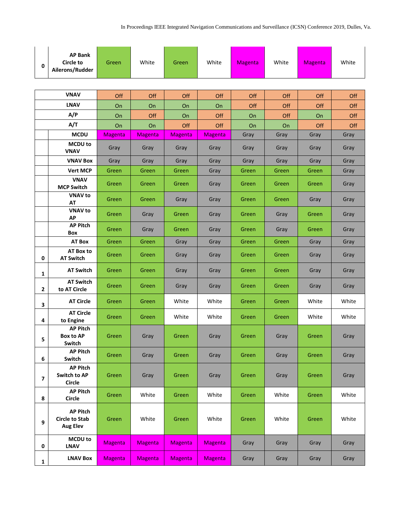| 0                        | <b>AP Bank</b><br><b>Circle to</b><br>Ailerons/Rudder       | Green          | White          | Green                 | White                 | <b>Magenta</b> | White      | <b>Magenta</b> | White       |  |  |  |
|--------------------------|-------------------------------------------------------------|----------------|----------------|-----------------------|-----------------------|----------------|------------|----------------|-------------|--|--|--|
|                          |                                                             |                |                |                       |                       |                |            |                |             |  |  |  |
|                          | <b>VNAV</b>                                                 | Off            | Off            | Off                   | Off                   | Off            | Off        | Off            | Off         |  |  |  |
|                          | <b>LNAV</b><br>A/P                                          | On             | On             | On                    | On                    | Off            | Off        | Off            | Off         |  |  |  |
|                          | A/T                                                         | On             | Off            | On                    | Off                   | On             | Off        | On             | Off         |  |  |  |
|                          | <b>MCDU</b>                                                 | On<br>Magenta  | On<br>Magenta  | Off<br><b>Magenta</b> | Off<br><b>Magenta</b> | On<br>Gray     | On<br>Gray | Off<br>Gray    | Off<br>Gray |  |  |  |
|                          | <b>MCDU</b> to                                              |                |                |                       |                       |                |            |                |             |  |  |  |
|                          | <b>VNAV</b>                                                 | Gray           | Gray           | Gray                  | Gray                  | Gray           | Gray       | Gray           | Gray        |  |  |  |
|                          | <b>VNAV Box</b>                                             | Gray           | Gray           | Gray                  | Gray                  | Gray           | Gray       | Gray           | Gray        |  |  |  |
|                          | <b>Vert MCP</b>                                             | Green          | Green          | Green                 | Gray                  | Green          | Green      | Green          | Gray        |  |  |  |
|                          | <b>VNAV</b><br><b>MCP Switch</b>                            | Green          | Green          | Green                 | Gray                  | Green          | Green      | Green          | Gray        |  |  |  |
|                          | <b>VNAV to</b><br>AT                                        | Green          | Green          | Gray                  | Gray                  | Green          | Green      | Gray           | Gray        |  |  |  |
|                          | <b>VNAV to</b><br>АP                                        | Green          | Gray           | Green                 | Gray                  | Green          | Gray       | Green          | Gray        |  |  |  |
|                          | <b>AP Pitch</b><br><b>Box</b>                               | Green          | Gray           | Green                 | Gray                  | Green          | Gray       | Green          | Gray        |  |  |  |
|                          | <b>AT Box</b>                                               | Green          | Green          | Gray                  | Gray                  | Green          | Green      | Gray           | Gray        |  |  |  |
| 0                        | AT Box to<br><b>AT Switch</b>                               | Green          | Green          | Gray                  | Gray                  | Green          | Green      | Gray           | Gray        |  |  |  |
| 1                        | <b>AT Switch</b>                                            | Green          | Green          | Gray                  | Gray                  | Green          | Green      | Gray           | Gray        |  |  |  |
| $\overline{2}$           | <b>AT Switch</b><br>to AT Circle                            | Green          | Green          | Gray                  | Gray                  | Green          | Green      | Gray           | Gray        |  |  |  |
| 3                        | <b>AT Circle</b>                                            | Green          | Green          | White                 | White                 | Green          | Green      | White          | White       |  |  |  |
| 4                        | <b>AT Circle</b><br>to Engine                               | Green          | Green          | White                 | White                 | Green          | Green      | White          | White       |  |  |  |
| 5                        | <b>AP Pitch</b><br><b>Box to AP</b><br>Switch               | Green          | Gray           | Green                 | Gray                  | Green          | Gray       | Green          | Gray        |  |  |  |
| 6                        | <b>AP Pitch</b><br>Switch                                   | Green          | Gray           | Green                 | Gray                  | Green          | Gray       | Green          | Gray        |  |  |  |
| $\overline{\phantom{a}}$ | <b>AP Pitch</b><br>Switch to AP<br>Circle                   | Green          | Gray           | Green                 | Gray                  | Green          | Gray       | Green          | Gray        |  |  |  |
| 8                        | <b>AP Pitch</b><br>Circle                                   | Green          | White          | Green                 | White                 | Green          | White      | Green          | White       |  |  |  |
| 9                        | <b>AP Pitch</b><br><b>Circle to Stab</b><br><b>Aug Elev</b> | Green          | White          | Green                 | White                 | Green          | White      | Green          | White       |  |  |  |
| $\pmb{0}$                | <b>MCDU</b> to<br><b>LNAV</b>                               | <b>Magenta</b> | <b>Magenta</b> | <b>Magenta</b>        | <b>Magenta</b>        | Gray           | Gray       | Gray           | Gray        |  |  |  |
| 1                        | <b>LNAV Box</b>                                             | <b>Magenta</b> | <b>Magenta</b> | <b>Magenta</b>        | <b>Magenta</b>        | Gray           | Gray       | Gray           | Gray        |  |  |  |